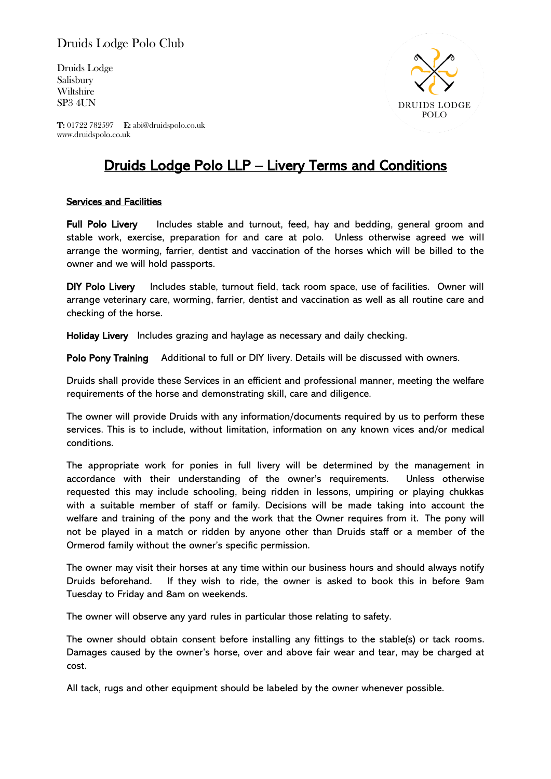# Druids Lodge Polo Club

Druids Lodge Salisbury Wiltshire SP3 4UN



T: 01722 782597 E: abi@druidspolo.co.uk www.druidspolo.co.uk

# Druids Lodge Polo LLP – Livery Terms and Conditions

## Services and Facilities

Full Polo Livery Includes stable and turnout, feed, hay and bedding, general groom and stable work, exercise, preparation for and care at polo. Unless otherwise agreed we will arrange the worming, farrier, dentist and vaccination of the horses which will be billed to the owner and we will hold passports.

DIY Polo Livery Includes stable, turnout field, tack room space, use of facilities. Owner will arrange veterinary care, worming, farrier, dentist and vaccination as well as all routine care and checking of the horse.

Holiday Livery Includes grazing and haylage as necessary and daily checking.

Polo Pony Training Additional to full or DIY livery. Details will be discussed with owners.

Druids shall provide these Services in an efficient and professional manner, meeting the welfare requirements of the horse and demonstrating skill, care and diligence.

The owner will provide Druids with any information/documents required by us to perform these services. This is to include, without limitation, information on any known vices and/or medical conditions.

The appropriate work for ponies in full livery will be determined by the management in accordance with their understanding of the owner's requirements. Unless otherwise requested this may include schooling, being ridden in lessons, umpiring or playing chukkas with a suitable member of staff or family. Decisions will be made taking into account the welfare and training of the pony and the work that the Owner requires from it. The pony will not be played in a match or ridden by anyone other than Druids staff or a member of the Ormerod family without the owner's specific permission.

The owner may visit their horses at any time within our business hours and should always notify Druids beforehand. If they wish to ride, the owner is asked to book this in before 9am Tuesday to Friday and 8am on weekends.

The owner will observe any yard rules in particular those relating to safety.

The owner should obtain consent before installing any fittings to the stable(s) or tack rooms. Damages caused by the owner's horse, over and above fair wear and tear, may be charged at cost.

All tack, rugs and other equipment should be labeled by the owner whenever possible.